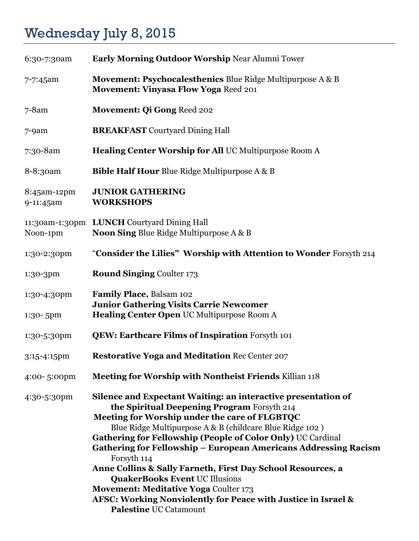## Wednesday July 8, 2015

| 6:30-7:30am              | Early Morning Outdoor Worship Near Alumni Tower                                                                                                                                                                                                                                                                                                                                                                                                                                                                                                                                                                                             |
|--------------------------|---------------------------------------------------------------------------------------------------------------------------------------------------------------------------------------------------------------------------------------------------------------------------------------------------------------------------------------------------------------------------------------------------------------------------------------------------------------------------------------------------------------------------------------------------------------------------------------------------------------------------------------------|
| 7-7:45am                 | Movement: Psychocalesthenics Blue Ridge Multipurpose A & B<br><b>Movement: Vinyasa Flow Yoga Reed 201</b>                                                                                                                                                                                                                                                                                                                                                                                                                                                                                                                                   |
| $7 - 8$ am               | <b>Movement: Qi Gong Reed 202</b>                                                                                                                                                                                                                                                                                                                                                                                                                                                                                                                                                                                                           |
| $7-9am$                  | <b>BREAKFAST</b> Courtyard Dining Hall                                                                                                                                                                                                                                                                                                                                                                                                                                                                                                                                                                                                      |
| 7:30-8am                 | Healing Center Worship for All UC Multipurpose Room A                                                                                                                                                                                                                                                                                                                                                                                                                                                                                                                                                                                       |
| 8-8:30am                 | <b>Bible Half Hour Blue Ridge Multipurpose A &amp; B</b>                                                                                                                                                                                                                                                                                                                                                                                                                                                                                                                                                                                    |
| 8:45am-12pm<br>9-11:45am | <b>JUNIOR GATHERING</b><br><b>WORKSHOPS</b>                                                                                                                                                                                                                                                                                                                                                                                                                                                                                                                                                                                                 |
| Noon-1pm                 | 11:30am-1:30pm LUNCH Courtyard Dining Hall<br><b>Noon Sing Blue Ridge Multipurpose A &amp; B</b>                                                                                                                                                                                                                                                                                                                                                                                                                                                                                                                                            |
| 1:30-2:30pm              | "Consider the Lilies" Worship with Attention to Wonder Forsyth 214                                                                                                                                                                                                                                                                                                                                                                                                                                                                                                                                                                          |
| 1:30-3pm                 | <b>Round Singing Coulter 173</b>                                                                                                                                                                                                                                                                                                                                                                                                                                                                                                                                                                                                            |
| 1:30-4:30pm<br>1:30-5pm  | Family Place, Balsam 102<br><b>Junior Gathering Visits Carrie Newcomer</b><br>Healing Center Open UC Multipurpose Room A                                                                                                                                                                                                                                                                                                                                                                                                                                                                                                                    |
| 1:30-5:30pm              | <b>QEW: Earthcare Films of Inspiration Forsyth 101</b>                                                                                                                                                                                                                                                                                                                                                                                                                                                                                                                                                                                      |
| 3:15-4:15pm              | <b>Restorative Yoga and Meditation Rec Center 207</b>                                                                                                                                                                                                                                                                                                                                                                                                                                                                                                                                                                                       |
| 4:00-5:00pm              | Meeting for Worship with Nontheist Friends Killian 118                                                                                                                                                                                                                                                                                                                                                                                                                                                                                                                                                                                      |
| 4:30-5:30pm              | Silence and Expectant Waiting: an interactive presentation of<br>the Spiritual Deepening Program Forsyth 214<br>Meeting for Worship under the care of FLGBTQC<br>Blue Ridge Multipurpose A & B (childcare Blue Ridge 102)<br>Gathering for Fellowship (People of Color Only) UC Cardinal<br><b>Gathering for Fellowship - European Americans Addressing Racism</b><br>Forsyth 114<br>Anne Collins & Sally Farneth, First Day School Resources, a<br><b>QuakerBooks Event UC Illusions</b><br><b>Movement: Meditative Yoga Coulter 173</b><br>AFSC: Working Nonviolently for Peace with Justice in Israel &<br><b>Palestine UC Catamount</b> |